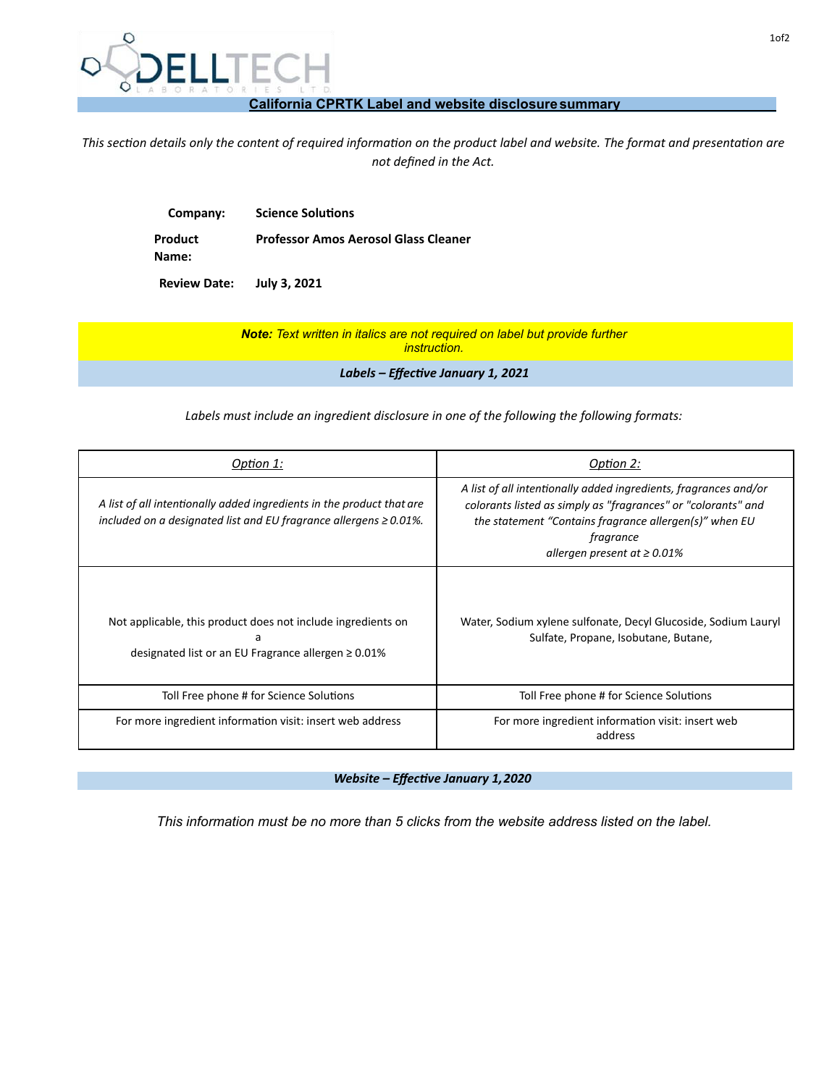

## **California CPRTK Label and website disclosuresummary**

This section details only the content of required information on the product label and website. The format and presentation are *not defined in the Act.* 

| <b>Science Solutions</b>                    |
|---------------------------------------------|
| <b>Professor Amos Aerosol Glass Cleaner</b> |
|                                             |
|                                             |

**Review Date: July 3, 2021**

*Note: Text written in italics are not required on label but provide further instruction.*

Labels - Effective January 1, 2021

*Labels must include an ingredient disclosure in one of the following the following formats:* 

| Option 1:                                                                                                                                         | Option 2:                                                                                                                                                                                                                                     |
|---------------------------------------------------------------------------------------------------------------------------------------------------|-----------------------------------------------------------------------------------------------------------------------------------------------------------------------------------------------------------------------------------------------|
| A list of all intentionally added ingredients in the product that are<br>included on a designated list and EU fragrance allergens $\geq 0.01\%$ . | A list of all intentionally added ingredients, fragrances and/or<br>colorants listed as simply as "fragrances" or "colorants" and<br>the statement "Contains fragrance allergen(s)" when EU<br>fragrance<br>allergen present at $\geq 0.01\%$ |
| Not applicable, this product does not include ingredients on<br>a<br>designated list or an EU Fragrance allergen ≥ 0.01%                          | Water, Sodium xylene sulfonate, Decyl Glucoside, Sodium Lauryl<br>Sulfate, Propane, Isobutane, Butane,                                                                                                                                        |
| Toll Free phone # for Science Solutions                                                                                                           | Toll Free phone # for Science Solutions                                                                                                                                                                                                       |
| For more ingredient information visit: insert web address                                                                                         | For more ingredient information visit: insert web<br>address                                                                                                                                                                                  |

*Website – Effective January 1,2020* 

*This information must be no more than 5 clicks from the website address listed on the label.*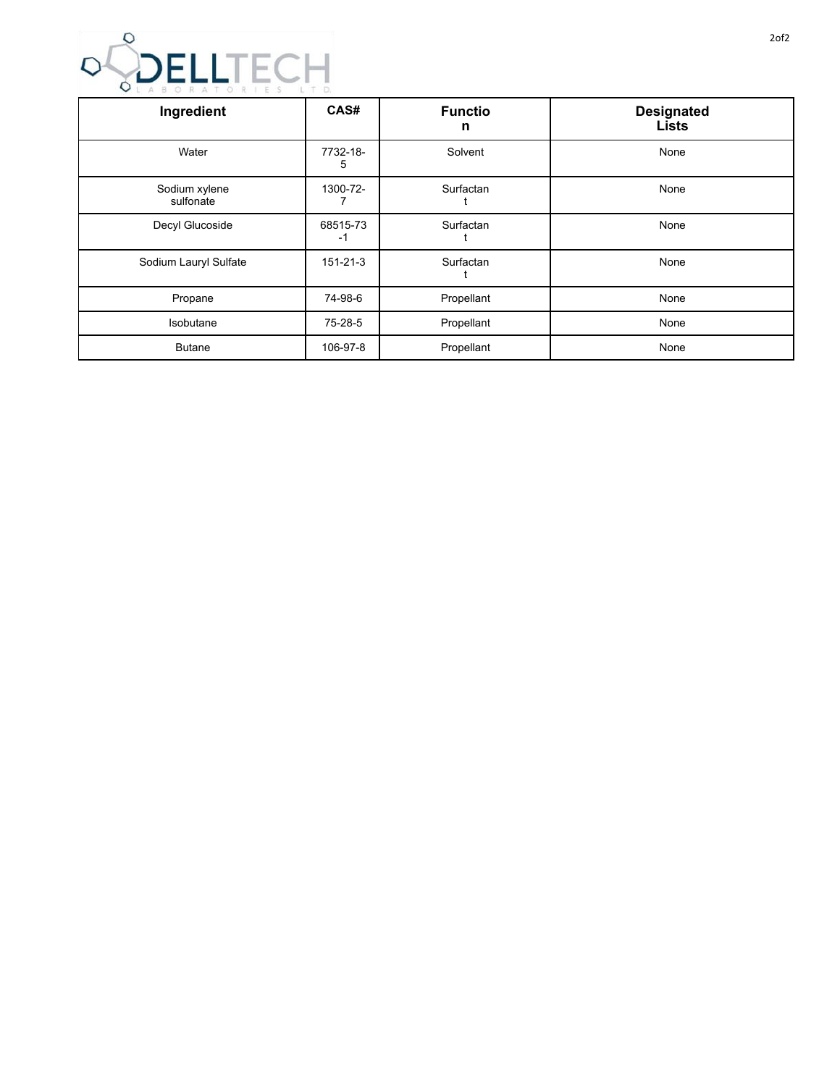

| Ingredient                 | CAS#           | <b>Functio</b><br>n | <b>Designated</b><br><b>Lists</b> |
|----------------------------|----------------|---------------------|-----------------------------------|
| Water                      | 7732-18-<br>5  | Solvent             | None                              |
| Sodium xylene<br>sulfonate | 1300-72-       | Surfactan           | None                              |
| Decyl Glucoside            | 68515-73<br>-1 | Surfactan           | None                              |
| Sodium Lauryl Sulfate      | $151 - 21 - 3$ | Surfactan           | None                              |
| Propane                    | 74-98-6        | Propellant          | None                              |
| Isobutane                  | 75-28-5        | Propellant          | None                              |
| <b>Butane</b>              | 106-97-8       | Propellant          | None                              |